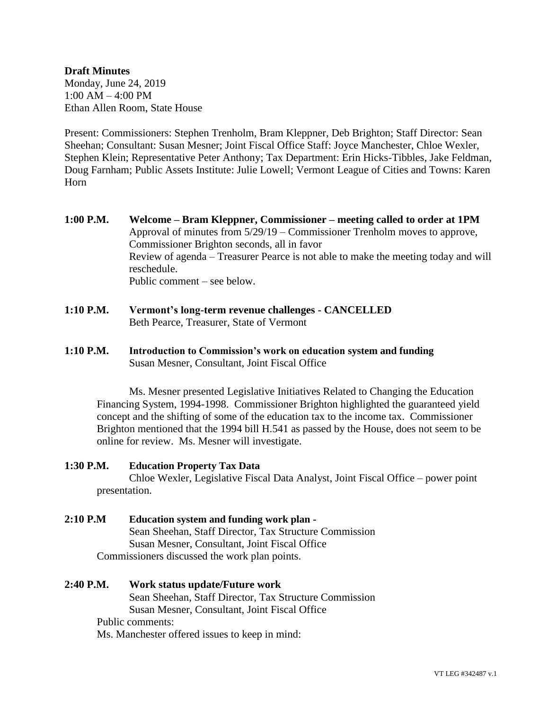## **Draft Minutes** Monday, June 24, 2019 1:00 AM – 4:00 PM Ethan Allen Room, State House

Present: Commissioners: Stephen Trenholm, Bram Kleppner, Deb Brighton; Staff Director: Sean Sheehan; Consultant: Susan Mesner; Joint Fiscal Office Staff: Joyce Manchester, Chloe Wexler, Stephen Klein; Representative Peter Anthony; Tax Department: Erin Hicks-Tibbles, Jake Feldman, Doug Farnham; Public Assets Institute: Julie Lowell; Vermont League of Cities and Towns: Karen Horn

- **1:00 P.M. Welcome – Bram Kleppner, Commissioner – meeting called to order at 1PM** Approval of minutes from 5/29/19 – Commissioner Trenholm moves to approve, Commissioner Brighton seconds, all in favor Review of agenda – Treasurer Pearce is not able to make the meeting today and will reschedule. Public comment – see below.
- **1:10 P.M. Vermont's long-term revenue challenges - CANCELLED** Beth Pearce, Treasurer, State of Vermont
- **1:10 P.M. Introduction to Commission's work on education system and funding** Susan Mesner, Consultant, Joint Fiscal Office

Ms. Mesner presented Legislative Initiatives Related to Changing the Education Financing System, 1994-1998. Commissioner Brighton highlighted the guaranteed yield concept and the shifting of some of the education tax to the income tax. Commissioner Brighton mentioned that the 1994 bill H.541 as passed by the House, does not seem to be online for review. Ms. Mesner will investigate.

## **1:30 P.M. Education Property Tax Data**

Chloe Wexler, Legislative Fiscal Data Analyst, Joint Fiscal Office – power point presentation.

- **2:10 P.M Education system and funding work plan -** Sean Sheehan, Staff Director, Tax Structure Commission Susan Mesner, Consultant, Joint Fiscal Office Commissioners discussed the work plan points.
- **2:40 P.M. Work status update/Future work** Sean Sheehan, Staff Director, Tax Structure Commission Susan Mesner, Consultant, Joint Fiscal Office Public comments: Ms. Manchester offered issues to keep in mind: